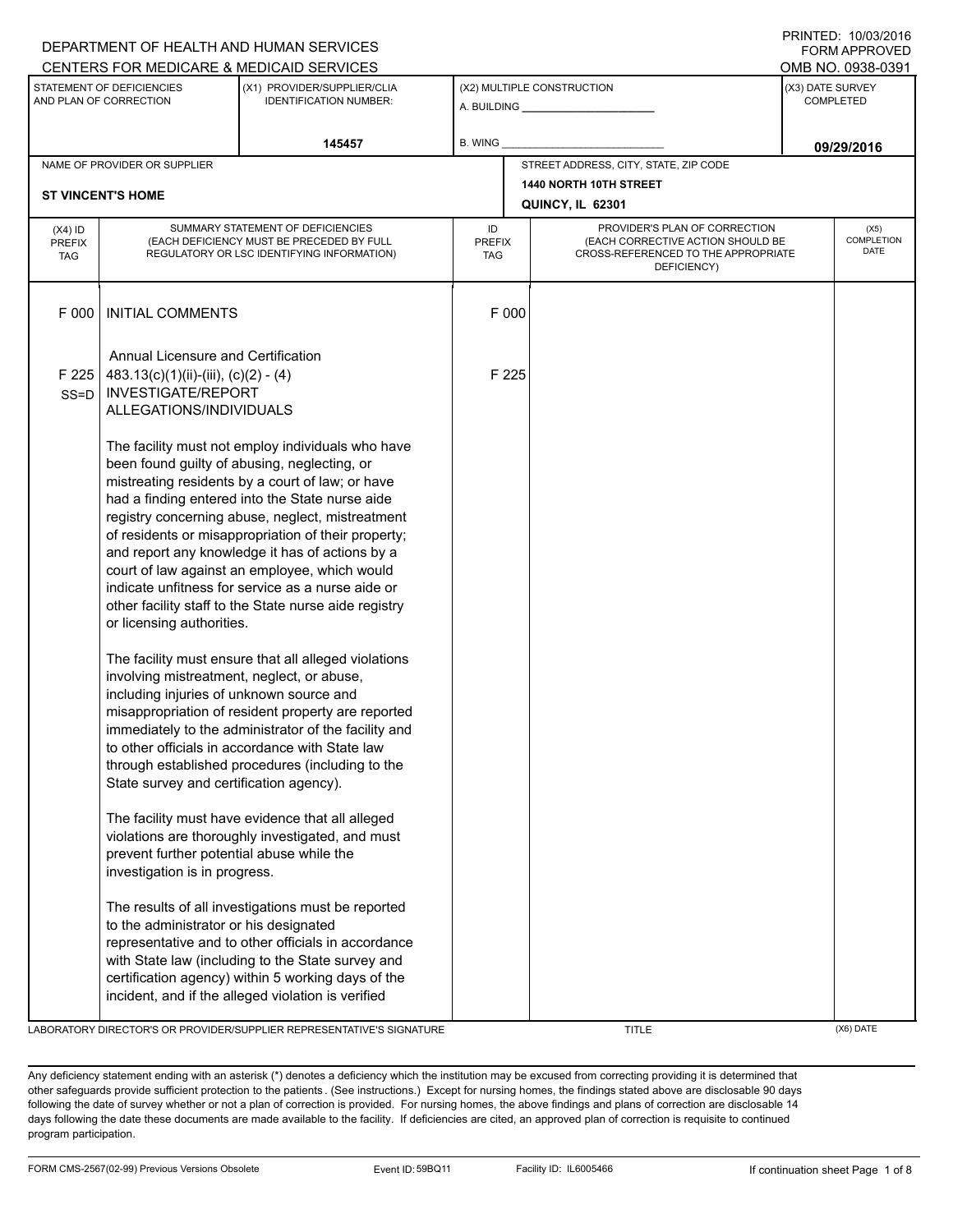|                                                                                                                     |                                                                                                                                                                                                                                                                                                                                                                                                                                                                                                                                                                    | CENTERS FOR MEDICARE & MEDICAID SERVICES                                                                                                                                                                                                                                                                                                                                                                       |                            |                                                                                                                          | FURIVI AFFRUVED<br>OMB NO. 0938-0391 |                                          |  |
|---------------------------------------------------------------------------------------------------------------------|--------------------------------------------------------------------------------------------------------------------------------------------------------------------------------------------------------------------------------------------------------------------------------------------------------------------------------------------------------------------------------------------------------------------------------------------------------------------------------------------------------------------------------------------------------------------|----------------------------------------------------------------------------------------------------------------------------------------------------------------------------------------------------------------------------------------------------------------------------------------------------------------------------------------------------------------------------------------------------------------|----------------------------|--------------------------------------------------------------------------------------------------------------------------|--------------------------------------|------------------------------------------|--|
| STATEMENT OF DEFICIENCIES<br>(X1) PROVIDER/SUPPLIER/CLIA<br>AND PLAN OF CORRECTION<br><b>IDENTIFICATION NUMBER:</b> |                                                                                                                                                                                                                                                                                                                                                                                                                                                                                                                                                                    |                                                                                                                                                                                                                                                                                                                                                                                                                |                            | (X2) MULTIPLE CONSTRUCTION                                                                                               | (X3) DATE SURVEY<br>COMPLETED        |                                          |  |
| 145457                                                                                                              |                                                                                                                                                                                                                                                                                                                                                                                                                                                                                                                                                                    | B. WING                                                                                                                                                                                                                                                                                                                                                                                                        |                            |                                                                                                                          | 09/29/2016                           |                                          |  |
| NAME OF PROVIDER OR SUPPLIER<br><b>ST VINCENT'S HOME</b>                                                            |                                                                                                                                                                                                                                                                                                                                                                                                                                                                                                                                                                    |                                                                                                                                                                                                                                                                                                                                                                                                                |                            | STREET ADDRESS, CITY, STATE, ZIP CODE<br>1440 NORTH 10TH STREET<br>QUINCY, IL 62301                                      |                                      |                                          |  |
| $(X4)$ ID<br><b>PREFIX</b><br><b>TAG</b>                                                                            | SUMMARY STATEMENT OF DEFICIENCIES<br>(EACH DEFICIENCY MUST BE PRECEDED BY FULL<br>REGULATORY OR LSC IDENTIFYING INFORMATION)                                                                                                                                                                                                                                                                                                                                                                                                                                       |                                                                                                                                                                                                                                                                                                                                                                                                                | ID<br><b>PREFIX</b><br>TAG | PROVIDER'S PLAN OF CORRECTION<br>(EACH CORRECTIVE ACTION SHOULD BE<br>CROSS-REFERENCED TO THE APPROPRIATE<br>DEFICIENCY) |                                      | (X5)<br><b>COMPLETION</b><br><b>DATE</b> |  |
| F 000                                                                                                               | <b>INITIAL COMMENTS</b>                                                                                                                                                                                                                                                                                                                                                                                                                                                                                                                                            |                                                                                                                                                                                                                                                                                                                                                                                                                | F 000                      |                                                                                                                          |                                      |                                          |  |
| F 225<br>$SS = D$                                                                                                   | Annual Licensure and Certification<br>$483.13(c)(1)(ii)-(iii), (c)(2)-(4)$<br><b>INVESTIGATE/REPORT</b><br>ALLEGATIONS/INDIVIDUALS                                                                                                                                                                                                                                                                                                                                                                                                                                 |                                                                                                                                                                                                                                                                                                                                                                                                                | F 225                      |                                                                                                                          |                                      |                                          |  |
|                                                                                                                     | The facility must not employ individuals who have<br>been found guilty of abusing, neglecting, or<br>mistreating residents by a court of law; or have<br>had a finding entered into the State nurse aide<br>registry concerning abuse, neglect, mistreatment<br>of residents or misappropriation of their property;<br>and report any knowledge it has of actions by a<br>court of law against an employee, which would<br>indicate unfitness for service as a nurse aide or<br>other facility staff to the State nurse aide registry<br>or licensing authorities. |                                                                                                                                                                                                                                                                                                                                                                                                                |                            |                                                                                                                          |                                      |                                          |  |
|                                                                                                                     |                                                                                                                                                                                                                                                                                                                                                                                                                                                                                                                                                                    | The facility must ensure that all alleged violations<br>involving mistreatment, neglect, or abuse,<br>including injuries of unknown source and<br>misappropriation of resident property are reported<br>immediately to the administrator of the facility and<br>to other officials in accordance with State law<br>through established procedures (including to the<br>State survey and certification agency). |                            |                                                                                                                          |                                      |                                          |  |
|                                                                                                                     | prevent further potential abuse while the<br>investigation is in progress.                                                                                                                                                                                                                                                                                                                                                                                                                                                                                         | The facility must have evidence that all alleged<br>violations are thoroughly investigated, and must                                                                                                                                                                                                                                                                                                           |                            |                                                                                                                          |                                      |                                          |  |
|                                                                                                                     | The results of all investigations must be reported<br>to the administrator or his designated<br>representative and to other officials in accordance<br>with State law (including to the State survey and<br>certification agency) within 5 working days of the<br>incident, and if the alleged violation is verified                                                                                                                                                                                                                                               |                                                                                                                                                                                                                                                                                                                                                                                                                |                            |                                                                                                                          |                                      |                                          |  |

LABORATORY DIRECTOR'S OR PROVIDER/SUPPLIER REPRESENTATIVE'S SIGNATURE TITLE THE TITLE (X6) DATE

DEPARTMENT OF HEALTH AND HUMAN SERVICES

PRINTED: 10/03/2016 FORM APPROVED

Any deficiency statement ending with an asterisk (\*) denotes a deficiency which the institution may be excused from correcting providing it is determined that other safeguards provide sufficient protection to the patients . (See instructions.) Except for nursing homes, the findings stated above are disclosable 90 days following the date of survey whether or not a plan of correction is provided. For nursing homes, the above findings and plans of correction are disclosable 14 days following the date these documents are made available to the facility. If deficiencies are cited, an approved plan of correction is requisite to continued program participation.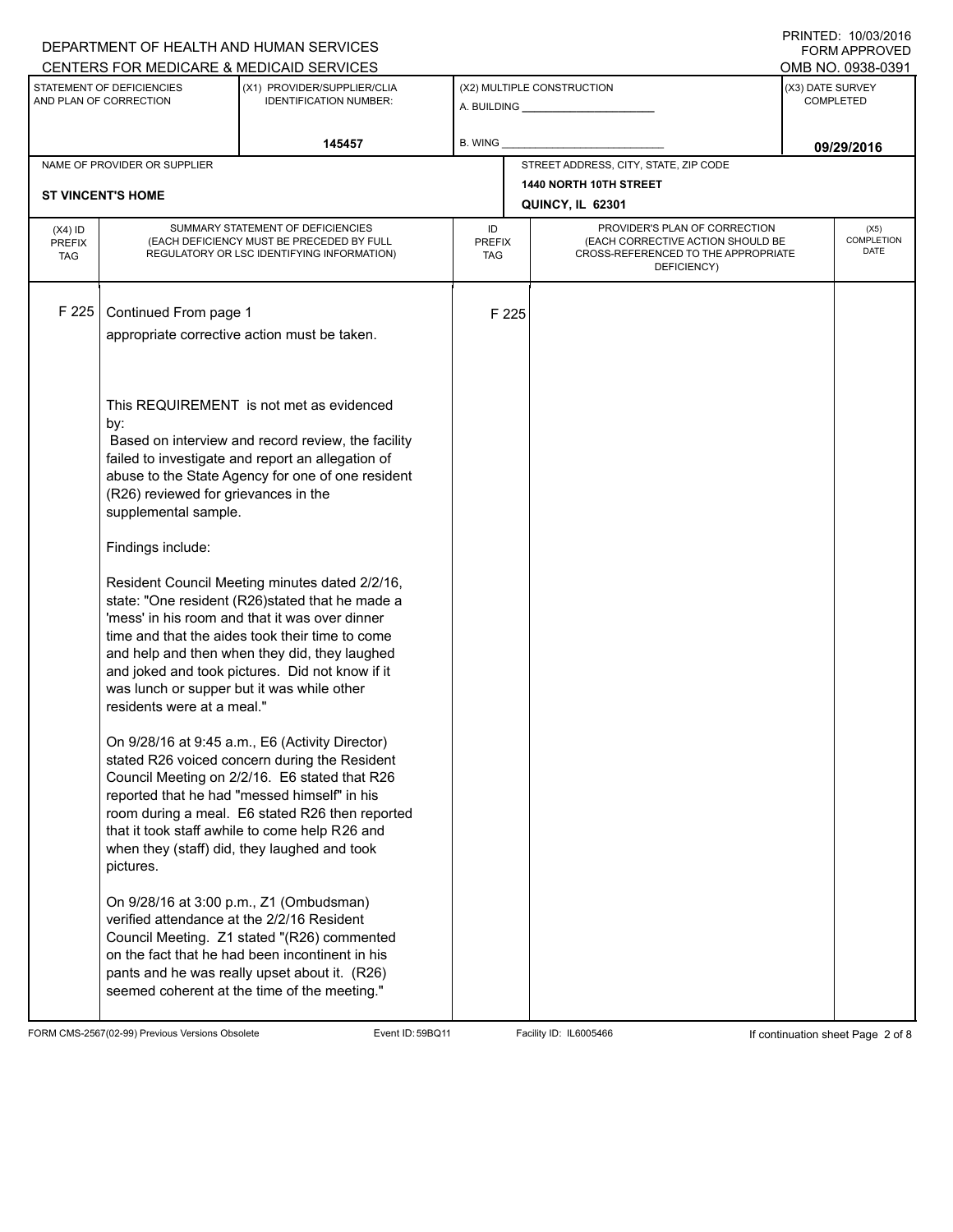|                                                                                                                     |                                                                                                                              | DEPARTMENT OF HEALTH AND HUMAN SERVICES<br>CENTERS FOR MEDICARE & MEDICAID SERVICES                                                                                                                                                                                                                                                                    |                            |                                      |                                                                                                                          |            | FORM APPROVED<br>OMB NO. 0938-0391 |  |
|---------------------------------------------------------------------------------------------------------------------|------------------------------------------------------------------------------------------------------------------------------|--------------------------------------------------------------------------------------------------------------------------------------------------------------------------------------------------------------------------------------------------------------------------------------------------------------------------------------------------------|----------------------------|--------------------------------------|--------------------------------------------------------------------------------------------------------------------------|------------|------------------------------------|--|
| STATEMENT OF DEFICIENCIES<br>(X1) PROVIDER/SUPPLIER/CLIA<br>AND PLAN OF CORRECTION<br><b>IDENTIFICATION NUMBER:</b> |                                                                                                                              |                                                                                                                                                                                                                                                                                                                                                        | (X2) MULTIPLE CONSTRUCTION | (X3) DATE SURVEY<br><b>COMPLETED</b> |                                                                                                                          |            |                                    |  |
| 145457                                                                                                              |                                                                                                                              |                                                                                                                                                                                                                                                                                                                                                        | B. WING                    |                                      |                                                                                                                          | 09/29/2016 |                                    |  |
|                                                                                                                     | NAME OF PROVIDER OR SUPPLIER                                                                                                 |                                                                                                                                                                                                                                                                                                                                                        |                            |                                      | STREET ADDRESS, CITY, STATE, ZIP CODE                                                                                    |            |                                    |  |
|                                                                                                                     | <b>ST VINCENT'S HOME</b>                                                                                                     |                                                                                                                                                                                                                                                                                                                                                        |                            |                                      | 1440 NORTH 10TH STREET<br>QUINCY, IL 62301                                                                               |            |                                    |  |
| $(X4)$ ID<br><b>PREFIX</b><br><b>TAG</b>                                                                            | SUMMARY STATEMENT OF DEFICIENCIES<br>(EACH DEFICIENCY MUST BE PRECEDED BY FULL<br>REGULATORY OR LSC IDENTIFYING INFORMATION) |                                                                                                                                                                                                                                                                                                                                                        |                            | <b>PREFIX</b><br>TAG                 | PROVIDER'S PLAN OF CORRECTION<br>(EACH CORRECTIVE ACTION SHOULD BE<br>CROSS-REFERENCED TO THE APPROPRIATE<br>DEFICIENCY) |            | (X5)<br>COMPLETION<br><b>DATE</b>  |  |
| F 225                                                                                                               | Continued From page 1                                                                                                        | appropriate corrective action must be taken.                                                                                                                                                                                                                                                                                                           |                            | F 225                                |                                                                                                                          |            |                                    |  |
|                                                                                                                     | by:<br>(R26) reviewed for grievances in the<br>supplemental sample.                                                          | This REQUIREMENT is not met as evidenced<br>Based on interview and record review, the facility<br>failed to investigate and report an allegation of<br>abuse to the State Agency for one of one resident                                                                                                                                               |                            |                                      |                                                                                                                          |            |                                    |  |
|                                                                                                                     | Findings include:                                                                                                            |                                                                                                                                                                                                                                                                                                                                                        |                            |                                      |                                                                                                                          |            |                                    |  |
|                                                                                                                     | was lunch or supper but it was while other<br>residents were at a meal."                                                     | Resident Council Meeting minutes dated 2/2/16,<br>state: "One resident (R26)stated that he made a<br>'mess' in his room and that it was over dinner<br>time and that the aides took their time to come<br>and help and then when they did, they laughed<br>and joked and took pictures. Did not know if it                                             |                            |                                      |                                                                                                                          |            |                                    |  |
|                                                                                                                     | pictures.                                                                                                                    | On 9/28/16 at 9:45 a.m., E6 (Activity Director)<br>stated R26 voiced concern during the Resident<br>Council Meeting on 2/2/16. E6 stated that R26<br>reported that he had "messed himself" in his<br>room during a meal. E6 stated R26 then reported<br>that it took staff awhile to come help R26 and<br>when they (staff) did, they laughed and took |                            |                                      |                                                                                                                          |            |                                    |  |
|                                                                                                                     | On 9/28/16 at 3:00 p.m., Z1 (Ombudsman)<br>verified attendance at the 2/2/16 Resident                                        | Council Meeting. Z1 stated "(R26) commented<br>on the fact that he had been incontinent in his<br>pants and he was really upset about it. (R26)<br>seemed coherent at the time of the meeting."                                                                                                                                                        |                            |                                      |                                                                                                                          |            |                                    |  |

FORM CMS-2567(02-99) Previous Versions Obsolete Event ID: 59BQ11 Facility ID: IL6005466 If continuation sheet Page 2 of 8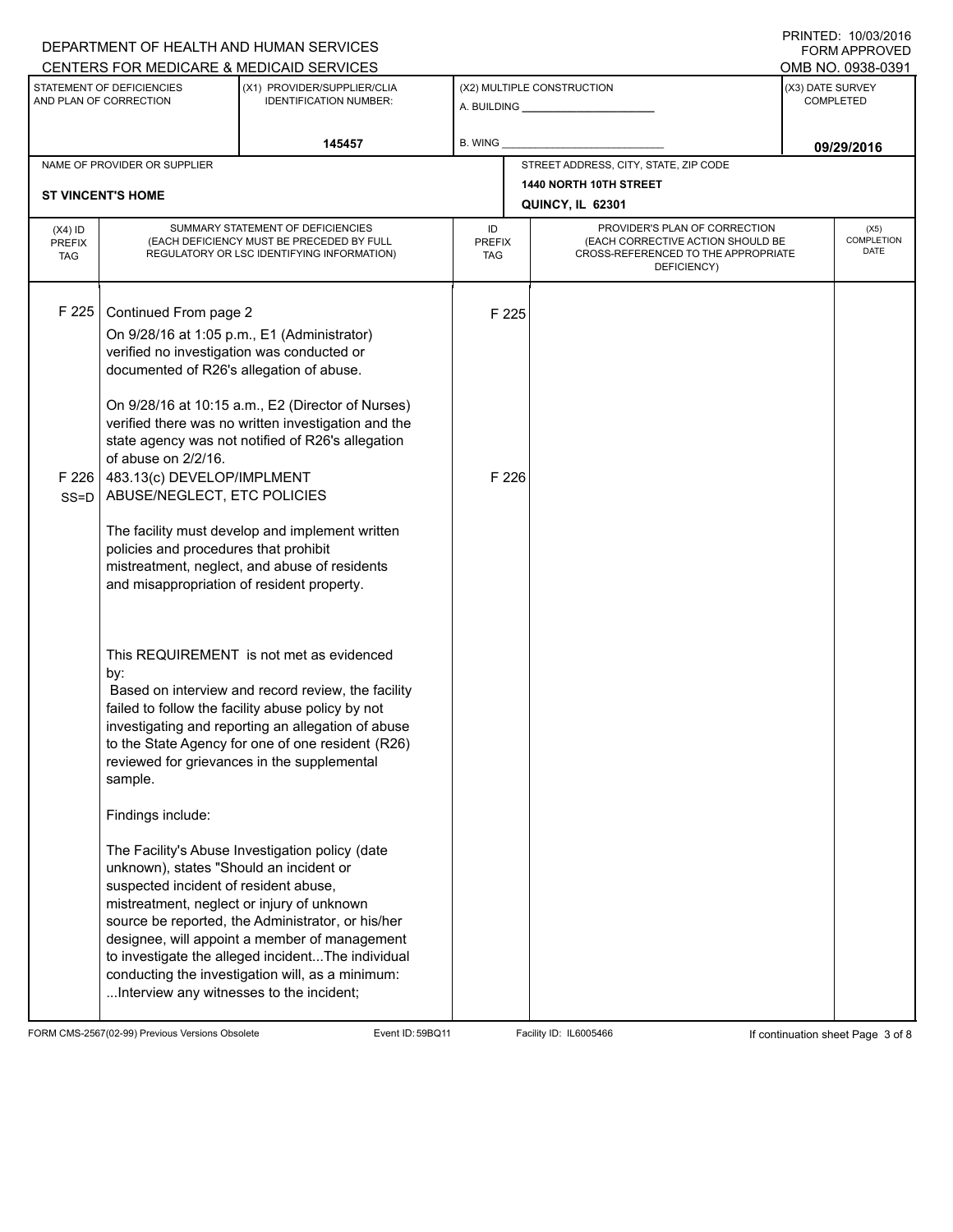## A. BUILDING **\_\_\_\_\_\_\_\_\_\_\_\_\_\_\_\_\_\_\_\_\_\_** (X1) PROVIDER/SUPPLIER/CLIA IDENTIFICATION NUMBER: STATEMENT OF DEFICIENCIES AND PLAN OF CORRECTION (X3) DATE SURVEY COMPLETED FORM APPROVED (X2) MULTIPLE CONSTRUCTION **B. WING** CENTERS FOR MEDICARE & MEDICAID SERVICES **And CENTERS FOR MEDICAL ACCESS** OMB NO. 0938-0391 **145457 09/29/2016** NAME OF PROVIDER OR SUPPLIER STREET ADDRESS, CITY, STATE, ZIP CODE **1440 NORTH 10TH STREET ST VINCENT'S HOME QUINCY, IL 62301** PROVIDER'S PLAN OF CORRECTION (EACH CORRECTIVE ACTION SHOULD BE CROSS-REFERENCED TO THE APPROPRIATE DEFICIENCY) (X5) **COMPLETION** DATE ID PREFIX TAG (X4) ID PREFIX TAG SUMMARY STATEMENT OF DEFICIENCIES (EACH DEFICIENCY MUST BE PRECEDED BY FULL REGULATORY OR LSC IDENTIFYING INFORMATION) F 225 Continued From page 2 F 225 On 9/28/16 at 1:05 p.m., E1 (Administrator) verified no investigation was conducted or documented of R26's allegation of abuse. On 9/28/16 at 10:15 a.m., E2 (Director of Nurses) verified there was no written investigation and the state agency was not notified of R26's allegation of abuse on 2/2/16. F 226 SS=D 483.13(c) DEVELOP/IMPLMENT ABUSE/NEGLECT, ETC POLICIES The facility must develop and implement written policies and procedures that prohibit mistreatment, neglect, and abuse of residents and misappropriation of resident property. This REQUIREMENT is not met as evidenced by: F 226 Based on interview and record review, the facility failed to follow the facility abuse policy by not investigating and reporting an allegation of abuse to the State Agency for one of one resident (R26) reviewed for grievances in the supplemental sample. Findings include: The Facility's Abuse Investigation policy (date unknown), states "Should an incident or suspected incident of resident abuse, mistreatment, neglect or injury of unknown source be reported, the Administrator, or his/her designee, will appoint a member of management to investigate the alleged incident...The individual conducting the investigation will, as a minimum: ...Interview any witnesses to the incident;

FORM CMS-2567(02-99) Previous Versions Obsolete Exert ID: 59BQ11 Facility ID: IL6005466 If continuation sheet Page 3 of 8

DEPARTMENT OF HEALTH AND HUMAN SERVICES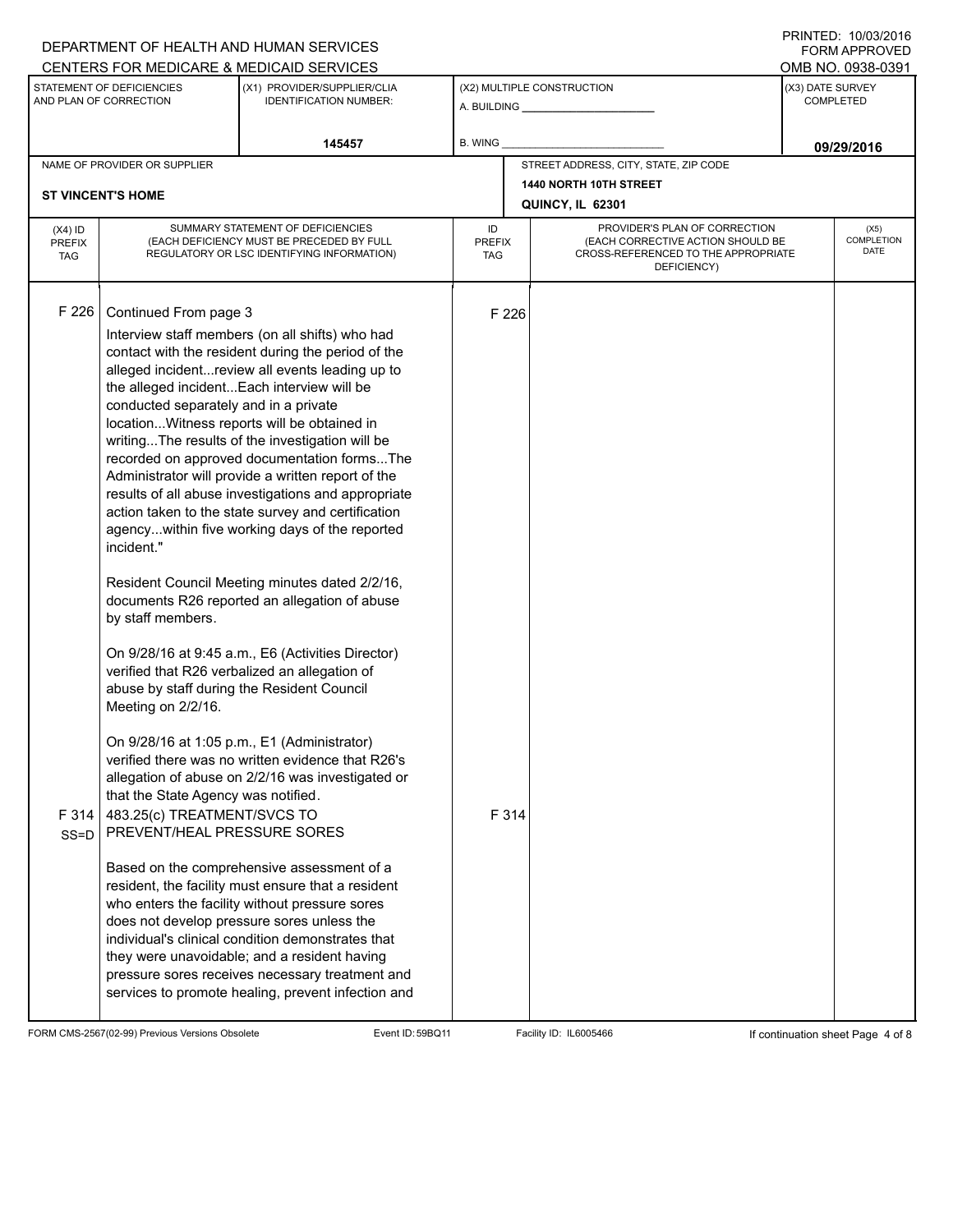| CENTERS FOR MEDICARE & MEDICAID SERVICES                                                                                                                                                                                                                                                                                                                                                                                                                                                                                                                                                                                                                                                                                                                                                                                                                                                                                                                                                                                                                                                                                                                                                                                                                                                                                                                                                                                                                                                                                                                                                                                                                                                   | OMB NO. 0938-0391          |  |
|--------------------------------------------------------------------------------------------------------------------------------------------------------------------------------------------------------------------------------------------------------------------------------------------------------------------------------------------------------------------------------------------------------------------------------------------------------------------------------------------------------------------------------------------------------------------------------------------------------------------------------------------------------------------------------------------------------------------------------------------------------------------------------------------------------------------------------------------------------------------------------------------------------------------------------------------------------------------------------------------------------------------------------------------------------------------------------------------------------------------------------------------------------------------------------------------------------------------------------------------------------------------------------------------------------------------------------------------------------------------------------------------------------------------------------------------------------------------------------------------------------------------------------------------------------------------------------------------------------------------------------------------------------------------------------------------|----------------------------|--|
| STATEMENT OF DEFICIENCIES<br>(X1) PROVIDER/SUPPLIER/CLIA                                                                                                                                                                                                                                                                                                                                                                                                                                                                                                                                                                                                                                                                                                                                                                                                                                                                                                                                                                                                                                                                                                                                                                                                                                                                                                                                                                                                                                                                                                                                                                                                                                   | (X3) DATE SURVEY           |  |
| (X2) MULTIPLE CONSTRUCTION<br>AND PLAN OF CORRECTION<br><b>IDENTIFICATION NUMBER:</b>                                                                                                                                                                                                                                                                                                                                                                                                                                                                                                                                                                                                                                                                                                                                                                                                                                                                                                                                                                                                                                                                                                                                                                                                                                                                                                                                                                                                                                                                                                                                                                                                      | <b>COMPLETED</b>           |  |
| 145457<br>B. WING                                                                                                                                                                                                                                                                                                                                                                                                                                                                                                                                                                                                                                                                                                                                                                                                                                                                                                                                                                                                                                                                                                                                                                                                                                                                                                                                                                                                                                                                                                                                                                                                                                                                          | 09/29/2016                 |  |
| STREET ADDRESS, CITY, STATE, ZIP CODE<br>NAME OF PROVIDER OR SUPPLIER                                                                                                                                                                                                                                                                                                                                                                                                                                                                                                                                                                                                                                                                                                                                                                                                                                                                                                                                                                                                                                                                                                                                                                                                                                                                                                                                                                                                                                                                                                                                                                                                                      |                            |  |
| 1440 NORTH 10TH STREET<br><b>ST VINCENT'S HOME</b>                                                                                                                                                                                                                                                                                                                                                                                                                                                                                                                                                                                                                                                                                                                                                                                                                                                                                                                                                                                                                                                                                                                                                                                                                                                                                                                                                                                                                                                                                                                                                                                                                                         |                            |  |
| QUINCY, IL 62301                                                                                                                                                                                                                                                                                                                                                                                                                                                                                                                                                                                                                                                                                                                                                                                                                                                                                                                                                                                                                                                                                                                                                                                                                                                                                                                                                                                                                                                                                                                                                                                                                                                                           |                            |  |
| SUMMARY STATEMENT OF DEFICIENCIES<br>PROVIDER'S PLAN OF CORRECTION<br>ID<br>$(X4)$ ID<br>(EACH DEFICIENCY MUST BE PRECEDED BY FULL<br>(EACH CORRECTIVE ACTION SHOULD BE<br><b>PREFIX</b><br><b>PREFIX</b><br>CROSS-REFERENCED TO THE APPROPRIATE<br>REGULATORY OR LSC IDENTIFYING INFORMATION)<br><b>TAG</b><br>TAG<br>DEFICIENCY)                                                                                                                                                                                                                                                                                                                                                                                                                                                                                                                                                                                                                                                                                                                                                                                                                                                                                                                                                                                                                                                                                                                                                                                                                                                                                                                                                         | (X5)<br>COMPLETION<br>DATE |  |
| F 226<br>Continued From page 3<br>F 226<br>Interview staff members (on all shifts) who had<br>contact with the resident during the period of the<br>alleged incidentreview all events leading up to<br>the alleged incidentEach interview will be<br>conducted separately and in a private<br>locationWitness reports will be obtained in<br>writingThe results of the investigation will be<br>recorded on approved documentation formsThe<br>Administrator will provide a written report of the<br>results of all abuse investigations and appropriate<br>action taken to the state survey and certification<br>agencywithin five working days of the reported<br>incident."<br>Resident Council Meeting minutes dated 2/2/16,<br>documents R26 reported an allegation of abuse<br>by staff members.<br>On 9/28/16 at 9:45 a.m., E6 (Activities Director)<br>verified that R26 verbalized an allegation of<br>abuse by staff during the Resident Council<br>Meeting on 2/2/16.<br>On 9/28/16 at 1:05 p.m., E1 (Administrator)<br>verified there was no written evidence that R26's<br>allegation of abuse on 2/2/16 was investigated or<br>that the State Agency was notified.<br>F 314<br>F 314<br>483.25(c) TREATMENT/SVCS TO<br>PREVENT/HEAL PRESSURE SORES<br>SS=D<br>Based on the comprehensive assessment of a<br>resident, the facility must ensure that a resident<br>who enters the facility without pressure sores<br>does not develop pressure sores unless the<br>individual's clinical condition demonstrates that<br>they were unavoidable; and a resident having<br>pressure sores receives necessary treatment and<br>services to promote healing, prevent infection and |                            |  |

FORM CMS-2567(02-99) Previous Versions Obsolete Event ID: 59BQ11 Facility ID: IL6005466 If continuation sheet Page 4 of 8

PRINTED: 10/03/2016 FORM APPROVED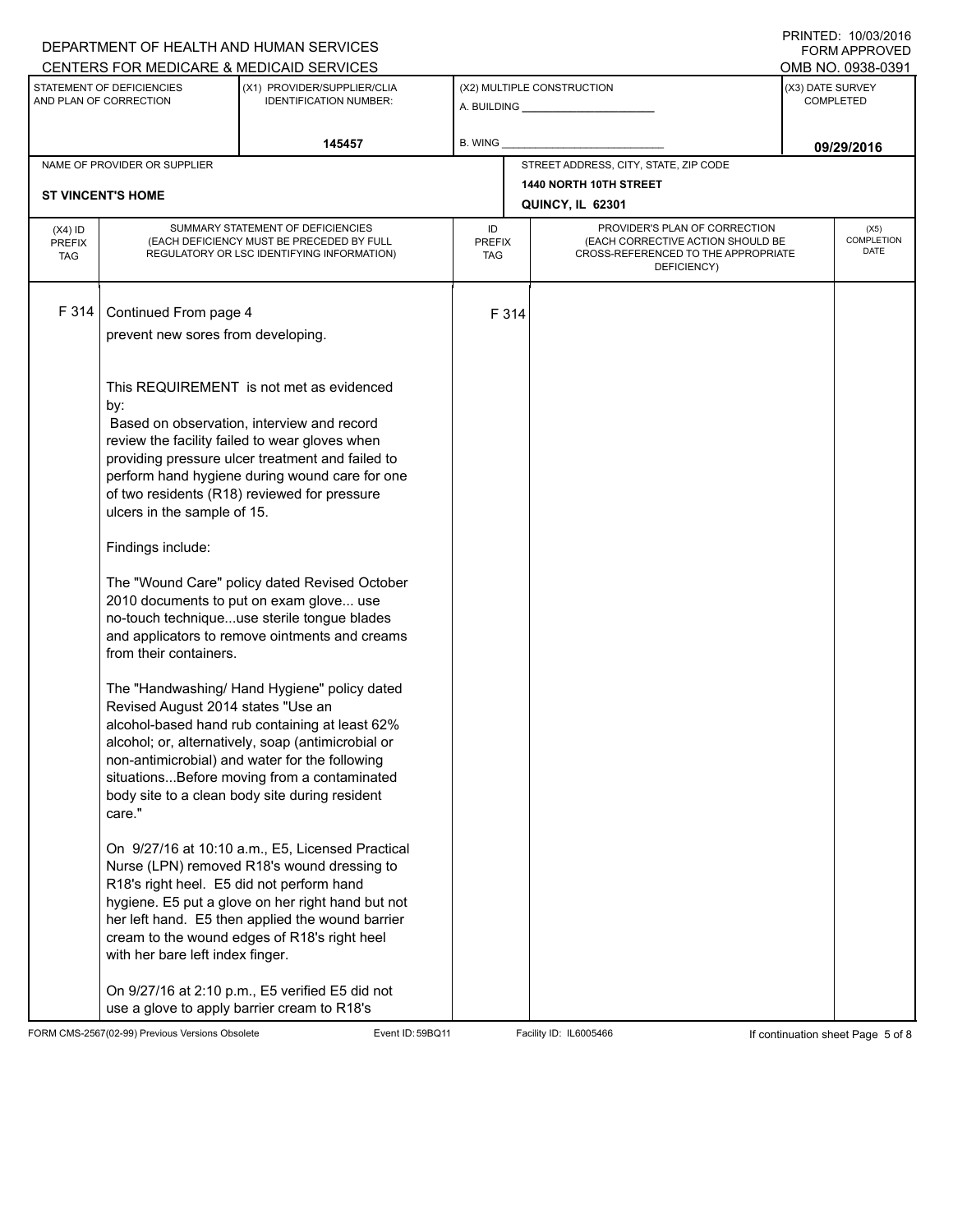|                                                     |                                                                                                                              | DEPARTMENT OF HEALTH AND HUMAN SERVICES<br>CENTERS FOR MEDICARE & MEDICAID SERVICES                                                                                                                                                                                                                     |         |                                                                                                                          |                                            |                                   | טו ט∡ושטוטו. וטובווווו<br>FORM APPROVED                   |  |
|-----------------------------------------------------|------------------------------------------------------------------------------------------------------------------------------|---------------------------------------------------------------------------------------------------------------------------------------------------------------------------------------------------------------------------------------------------------------------------------------------------------|---------|--------------------------------------------------------------------------------------------------------------------------|--------------------------------------------|-----------------------------------|-----------------------------------------------------------|--|
| STATEMENT OF DEFICIENCIES<br>AND PLAN OF CORRECTION |                                                                                                                              | (X1) PROVIDER/SUPPLIER/CLIA<br><b>IDENTIFICATION NUMBER:</b>                                                                                                                                                                                                                                            |         | (X2) MULTIPLE CONSTRUCTION                                                                                               |                                            |                                   | OMB NO. 0938-0391<br>(X3) DATE SURVEY<br><b>COMPLETED</b> |  |
| 145457                                              |                                                                                                                              |                                                                                                                                                                                                                                                                                                         | B. WING |                                                                                                                          |                                            | 09/29/2016                        |                                                           |  |
|                                                     | NAME OF PROVIDER OR SUPPLIER                                                                                                 |                                                                                                                                                                                                                                                                                                         |         |                                                                                                                          | STREET ADDRESS, CITY, STATE, ZIP CODE      |                                   |                                                           |  |
|                                                     | <b>ST VINCENT'S HOME</b>                                                                                                     |                                                                                                                                                                                                                                                                                                         |         |                                                                                                                          | 1440 NORTH 10TH STREET<br>QUINCY, IL 62301 |                                   |                                                           |  |
| $(X4)$ ID<br><b>PREFIX</b><br><b>TAG</b>            | SUMMARY STATEMENT OF DEFICIENCIES<br>(EACH DEFICIENCY MUST BE PRECEDED BY FULL<br>REGULATORY OR LSC IDENTIFYING INFORMATION) | ID<br><b>PREFIX</b><br>TAG                                                                                                                                                                                                                                                                              |         | PROVIDER'S PLAN OF CORRECTION<br>(EACH CORRECTIVE ACTION SHOULD BE<br>CROSS-REFERENCED TO THE APPROPRIATE<br>DEFICIENCY) |                                            | (X5)<br><b>COMPLETION</b><br>DATE |                                                           |  |
| F 314                                               | Continued From page 4<br>prevent new sores from developing.                                                                  |                                                                                                                                                                                                                                                                                                         |         | F 314                                                                                                                    |                                            |                                   |                                                           |  |
|                                                     | by:<br>ulcers in the sample of 15.                                                                                           | This REQUIREMENT is not met as evidenced<br>Based on observation, interview and record<br>review the facility failed to wear gloves when<br>providing pressure ulcer treatment and failed to<br>perform hand hygiene during wound care for one<br>of two residents (R18) reviewed for pressure          |         |                                                                                                                          |                                            |                                   |                                                           |  |
|                                                     | Findings include:                                                                                                            |                                                                                                                                                                                                                                                                                                         |         |                                                                                                                          |                                            |                                   |                                                           |  |
|                                                     | from their containers.                                                                                                       | The "Wound Care" policy dated Revised October<br>2010 documents to put on exam glove use<br>no-touch techniqueuse sterile tongue blades<br>and applicators to remove ointments and creams                                                                                                               |         |                                                                                                                          |                                            |                                   |                                                           |  |
|                                                     | Revised August 2014 states "Use an<br>care."                                                                                 | The "Handwashing/ Hand Hygiene" policy dated<br>alcohol-based hand rub containing at least 62%<br>alcohol; or, alternatively, soap (antimicrobial or<br>non-antimicrobial) and water for the following<br>situationsBefore moving from a contaminated<br>body site to a clean body site during resident |         |                                                                                                                          |                                            |                                   |                                                           |  |
|                                                     | R18's right heel. E5 did not perform hand<br>with her bare left index finger.                                                | On 9/27/16 at 10:10 a.m., E5, Licensed Practical<br>Nurse (LPN) removed R18's wound dressing to<br>hygiene. E5 put a glove on her right hand but not<br>her left hand. E5 then applied the wound barrier<br>cream to the wound edges of R18's right heel                                                |         |                                                                                                                          |                                            |                                   |                                                           |  |
|                                                     |                                                                                                                              | On 9/27/16 at 2:10 p.m., E5 verified E5 did not<br>use a glove to apply barrier cream to R18's                                                                                                                                                                                                          |         |                                                                                                                          |                                            |                                   |                                                           |  |

FORM CMS-2567(02-99) Previous Versions Obsolete Event ID: 59BQ11 Facility ID: IL6005466 If continuation sheet Page 5 of 8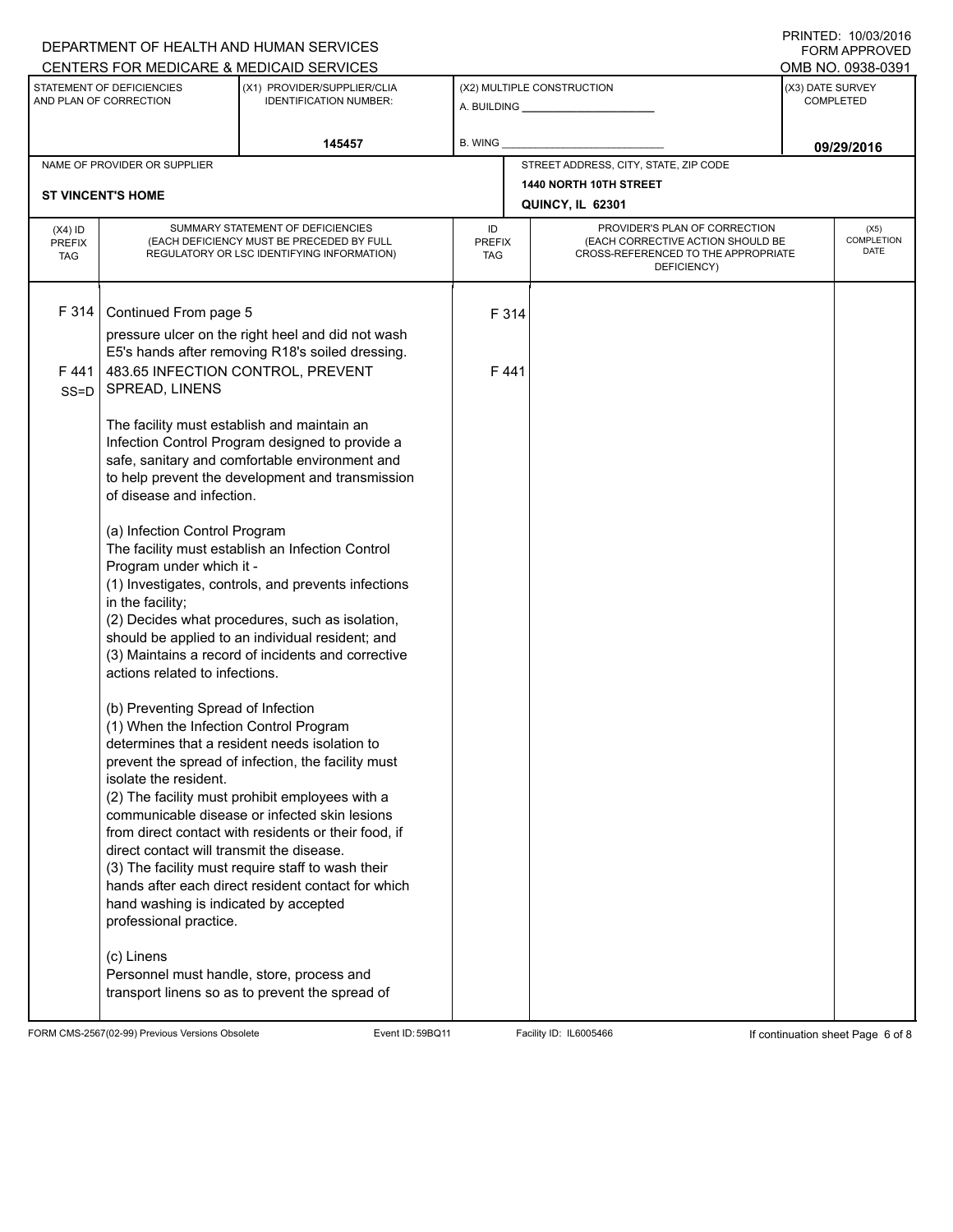## A. BUILDING **\_\_\_\_\_\_\_\_\_\_\_\_\_\_\_\_\_\_\_\_\_\_** (X1) PROVIDER/SUPPLIER/CLIA IDENTIFICATION NUMBER: STATEMENT OF DEFICIENCIES AND PLAN OF CORRECTION (X3) DATE SURVEY COMPLETED FORM APPROVED (X2) MULTIPLE CONSTRUCTION **B. WING** CENTERS FOR MEDICARE & MEDICAID SERVICES **And CENTERS FOR MEDICAL ACCESS** OMB NO. 0938-0391 **145457 09/29/2016** NAME OF PROVIDER OR SUPPLIER STREET ADDRESS, CITY, STATE, ZIP CODE **1440 NORTH 10TH STREET ST VINCENT'S HOME QUINCY, IL 62301** PROVIDER'S PLAN OF CORRECTION (EACH CORRECTIVE ACTION SHOULD BE CROSS-REFERENCED TO THE APPROPRIATE DEFICIENCY) (X5) **COMPLETION** DATE ID PREFIX TAG (X4) ID PREFIX TAG SUMMARY STATEMENT OF DEFICIENCIES (EACH DEFICIENCY MUST BE PRECEDED BY FULL REGULATORY OR LSC IDENTIFYING INFORMATION) F 314 Continued From page 5 F 314 pressure ulcer on the right heel and did not wash E5's hands after removing R18's soiled dressing. F 441 SS=D 483.65 INFECTION CONTROL, PREVENT SPREAD, LINENS The facility must establish and maintain an Infection Control Program designed to provide a safe, sanitary and comfortable environment and to help prevent the development and transmission of disease and infection. (a) Infection Control Program The facility must establish an Infection Control Program under which it - (1) Investigates, controls, and prevents infections in the facility; (2) Decides what procedures, such as isolation, should be applied to an individual resident; and (3) Maintains a record of incidents and corrective actions related to infections. (b) Preventing Spread of Infection (1) When the Infection Control Program determines that a resident needs isolation to prevent the spread of infection, the facility must isolate the resident. (2) The facility must prohibit employees with a communicable disease or infected skin lesions from direct contact with residents or their food, if direct contact will transmit the disease. (3) The facility must require staff to wash their hands after each direct resident contact for which hand washing is indicated by accepted professional practice. (c) Linens Personnel must handle, store, process and transport linens so as to prevent the spread of F 441

FORM CMS-2567(02-99) Previous Versions Obsolete Exert ID: 59BQ11 Facility ID: IL6005466 If continuation sheet Page 6 of 8

DEPARTMENT OF HEALTH AND HUMAN SERVICES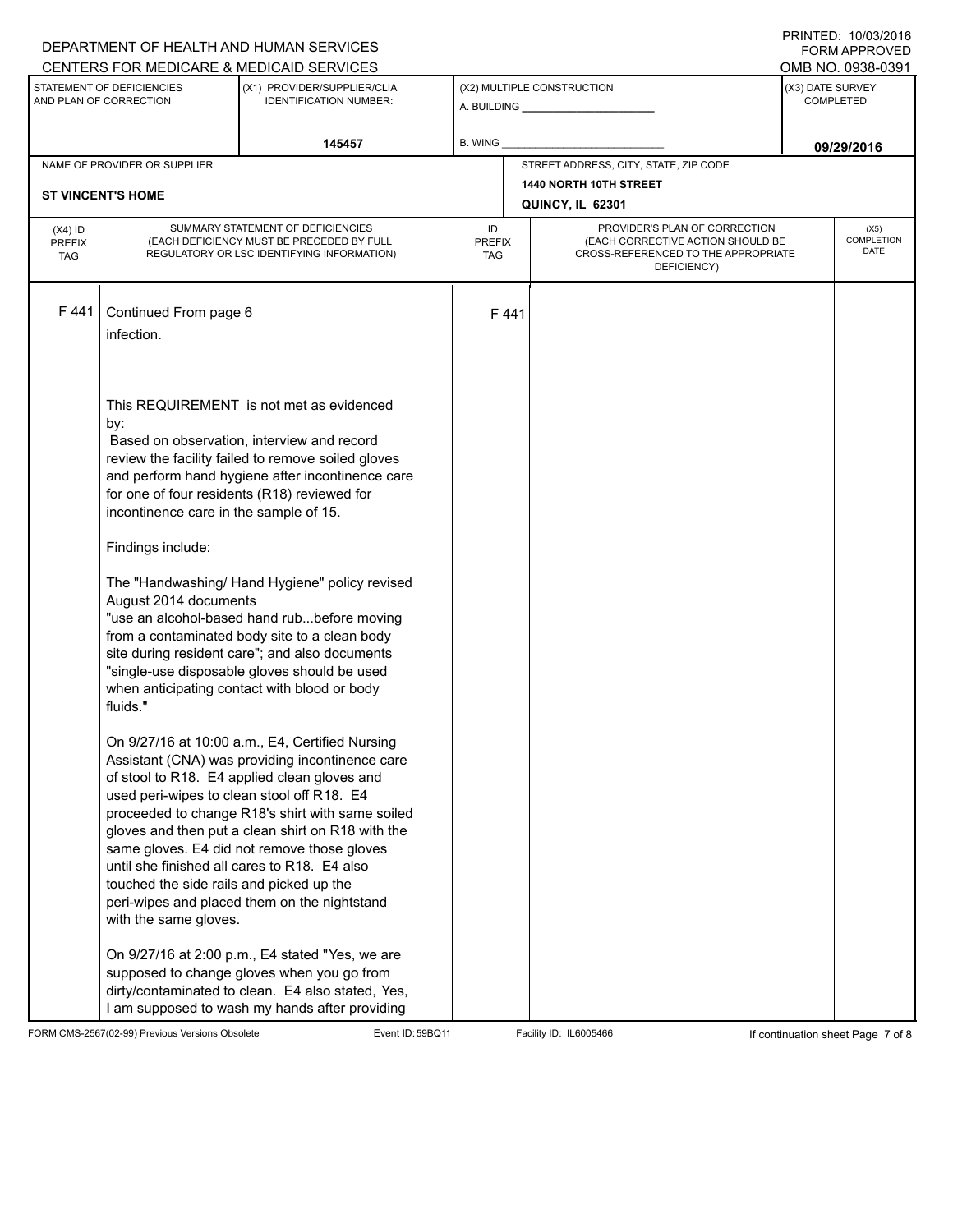|                                                                                                                                                                           |                                                                                                                                                                                                                                                                                                                                       | DEPARTMENT OF HEALTH AND HUMAN SERVICES                                                                                                                                                                                                                                                                                                                                                                    |                            |                                            |                                                                                                                          |            | ,,,,,,,,,,,,,,,,,,,,,,,<br><b>FORM APPROVED</b> |  |  |
|---------------------------------------------------------------------------------------------------------------------------------------------------------------------------|---------------------------------------------------------------------------------------------------------------------------------------------------------------------------------------------------------------------------------------------------------------------------------------------------------------------------------------|------------------------------------------------------------------------------------------------------------------------------------------------------------------------------------------------------------------------------------------------------------------------------------------------------------------------------------------------------------------------------------------------------------|----------------------------|--------------------------------------------|--------------------------------------------------------------------------------------------------------------------------|------------|-------------------------------------------------|--|--|
| CENTERS FOR MEDICARE & MEDICAID SERVICES<br>STATEMENT OF DEFICIENCIES<br>(X1) PROVIDER/SUPPLIER/CLIA<br>AND PLAN OF CORRECTION<br><b>IDENTIFICATION NUMBER:</b><br>145457 |                                                                                                                                                                                                                                                                                                                                       |                                                                                                                                                                                                                                                                                                                                                                                                            |                            | (X2) MULTIPLE CONSTRUCTION                 | OMB NO. 0938-0391<br>(X3) DATE SURVEY<br><b>COMPLETED</b>                                                                |            |                                                 |  |  |
|                                                                                                                                                                           |                                                                                                                                                                                                                                                                                                                                       |                                                                                                                                                                                                                                                                                                                                                                                                            | B. WING                    |                                            |                                                                                                                          | 09/29/2016 |                                                 |  |  |
|                                                                                                                                                                           | NAME OF PROVIDER OR SUPPLIER                                                                                                                                                                                                                                                                                                          |                                                                                                                                                                                                                                                                                                                                                                                                            |                            |                                            | STREET ADDRESS, CITY, STATE, ZIP CODE                                                                                    |            |                                                 |  |  |
|                                                                                                                                                                           | <b>ST VINCENT'S HOME</b>                                                                                                                                                                                                                                                                                                              |                                                                                                                                                                                                                                                                                                                                                                                                            |                            | 1440 NORTH 10TH STREET<br>QUINCY, IL 62301 |                                                                                                                          |            |                                                 |  |  |
| $(X4)$ ID<br><b>PREFIX</b><br><b>TAG</b>                                                                                                                                  | SUMMARY STATEMENT OF DEFICIENCIES<br>(EACH DEFICIENCY MUST BE PRECEDED BY FULL<br>REGULATORY OR LSC IDENTIFYING INFORMATION)                                                                                                                                                                                                          |                                                                                                                                                                                                                                                                                                                                                                                                            | ID<br><b>PREFIX</b><br>TAG |                                            | PROVIDER'S PLAN OF CORRECTION<br>(EACH CORRECTIVE ACTION SHOULD BE<br>CROSS-REFERENCED TO THE APPROPRIATE<br>DEFICIENCY) |            | (X5)<br>COMPLETION<br><b>DATE</b>               |  |  |
| F441                                                                                                                                                                      | Continued From page 6<br>infection.                                                                                                                                                                                                                                                                                                   |                                                                                                                                                                                                                                                                                                                                                                                                            |                            | F441                                       |                                                                                                                          |            |                                                 |  |  |
|                                                                                                                                                                           | by:<br>incontinence care in the sample of 15.                                                                                                                                                                                                                                                                                         | This REQUIREMENT is not met as evidenced<br>Based on observation, interview and record<br>review the facility failed to remove soiled gloves<br>and perform hand hygiene after incontinence care<br>for one of four residents (R18) reviewed for                                                                                                                                                           |                            |                                            |                                                                                                                          |            |                                                 |  |  |
|                                                                                                                                                                           | Findings include:                                                                                                                                                                                                                                                                                                                     |                                                                                                                                                                                                                                                                                                                                                                                                            |                            |                                            |                                                                                                                          |            |                                                 |  |  |
|                                                                                                                                                                           | The "Handwashing/ Hand Hygiene" policy revised<br>August 2014 documents<br>"use an alcohol-based hand rubbefore moving<br>from a contaminated body site to a clean body<br>site during resident care"; and also documents<br>"single-use disposable gloves should be used<br>when anticipating contact with blood or body<br>fluids." |                                                                                                                                                                                                                                                                                                                                                                                                            |                            |                                            |                                                                                                                          |            |                                                 |  |  |
|                                                                                                                                                                           | used peri-wipes to clean stool off R18. E4<br>touched the side rails and picked up the<br>with the same gloves.                                                                                                                                                                                                                       | On 9/27/16 at 10:00 a.m., E4, Certified Nursing<br>Assistant (CNA) was providing incontinence care<br>of stool to R18. E4 applied clean gloves and<br>proceeded to change R18's shirt with same soiled<br>gloves and then put a clean shirt on R18 with the<br>same gloves. E4 did not remove those gloves<br>until she finished all cares to R18. E4 also<br>peri-wipes and placed them on the nightstand |                            |                                            |                                                                                                                          |            |                                                 |  |  |
|                                                                                                                                                                           |                                                                                                                                                                                                                                                                                                                                       | On 9/27/16 at 2:00 p.m., E4 stated "Yes, we are<br>supposed to change gloves when you go from<br>dirty/contaminated to clean. E4 also stated, Yes,<br>I am supposed to wash my hands after providing                                                                                                                                                                                                       |                            |                                            |                                                                                                                          |            |                                                 |  |  |

FORM CMS-2567(02-99) Previous Versions Obsolete Event ID: 59BQ11 Facility ID: IL6005466 If continuation sheet Page 7 of 8